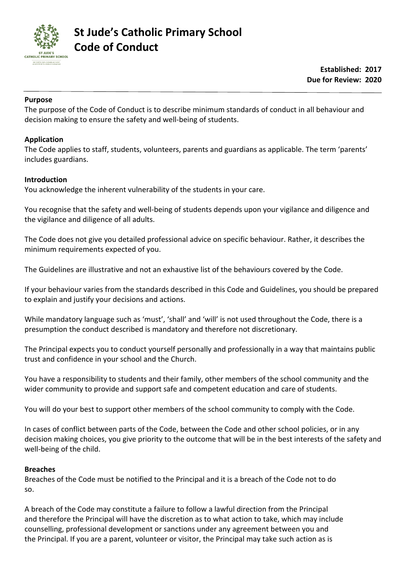

#### **Purpose**

The purpose of the Code of Conduct is to describe minimum standards of conduct in all behaviour and decision making to ensure the safety and well-being of students.

#### **Application**

The Code applies to staff, students, volunteers, parents and guardians as applicable. The term 'parents' includes guardians.

#### **Introduction**

You acknowledge the inherent vulnerability of the students in your care.

You recognise that the safety and well-being of students depends upon your vigilance and diligence and the vigilance and diligence of all adults.

The Code does not give you detailed professional advice on specific behaviour. Rather, it describes the minimum requirements expected of you.

The Guidelines are illustrative and not an exhaustive list of the behaviours covered by the Code.

If your behaviour varies from the standards described in this Code and Guidelines, you should be prepared to explain and justify your decisions and actions.

While mandatory language such as 'must', 'shall' and 'will' is not used throughout the Code, there is a presumption the conduct described is mandatory and therefore not discretionary.

The Principal expects you to conduct yourself personally and professionally in a way that maintains public trust and confidence in your school and the Church.

You have a responsibility to students and their family, other members of the school community and the wider community to provide and support safe and competent education and care of students.

You will do your best to support other members of the school community to comply with the Code.

In cases of conflict between parts of the Code, between the Code and other school policies, or in any decision making choices, you give priority to the outcome that will be in the best interests of the safety and well-being of the child.

#### **Breaches**

Breaches of the Code must be notified to the Principal and it is a breach of the Code not to do so.

A breach of the Code may constitute a failure to follow a lawful direction from the Principal and therefore the Principal will have the discretion as to what action to take, which may include counselling, professional development or sanctions under any agreement between you and the Principal. If you are a parent, volunteer or visitor, the Principal may take such action as is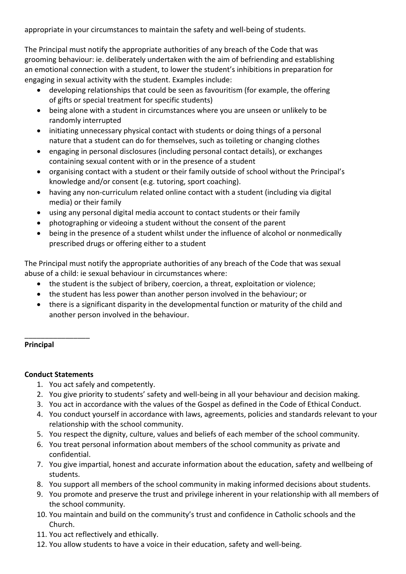appropriate in your circumstances to maintain the safety and well-being of students.

The Principal must notify the appropriate authorities of any breach of the Code that was grooming behaviour: ie. deliberately undertaken with the aim of befriending and establishing an emotional connection with a student, to lower the student's inhibitions in preparation for engaging in sexual activity with the student. Examples include:

- developing relationships that could be seen as favouritism (for example, the offering of gifts or special treatment for specific students)
- being alone with a student in circumstances where you are unseen or unlikely to be randomly interrupted
- initiating unnecessary physical contact with students or doing things of a personal nature that a student can do for themselves, such as toileting or changing clothes
- engaging in personal disclosures (including personal contact details), or exchanges containing sexual content with or in the presence of a student
- organising contact with a student or their family outside of school without the Principal's knowledge and/or consent (e.g. tutoring, sport coaching).
- having any non-curriculum related online contact with a student (including via digital media) or their family
- using any personal digital media account to contact students or their family
- photographing or videoing a student without the consent of the parent
- being in the presence of a student whilst under the influence of alcohol or nonmedically prescribed drugs or offering either to a student

The Principal must notify the appropriate authorities of any breach of the Code that was sexual abuse of a child: ie sexual behaviour in circumstances where:

- the student is the subject of bribery, coercion, a threat, exploitation or violence;
- the student has less power than another person involved in the behaviour; or
- there is a significant disparity in the developmental function or maturity of the child and another person involved in the behaviour.

# **Principal**

### **Conduct Statements**

\_\_\_\_\_\_\_\_\_\_\_\_\_\_\_\_

- 1. You act safely and competently.
- 2. You give priority to students' safety and well-being in all your behaviour and decision making.
- 3. You act in accordance with the values of the Gospel as defined in the Code of Ethical Conduct.
- 4. You conduct yourself in accordance with laws, agreements, policies and standards relevant to your relationship with the school community.
- 5. You respect the dignity, culture, values and beliefs of each member of the school community.
- 6. You treat personal information about members of the school community as private and confidential.
- 7. You give impartial, honest and accurate information about the education, safety and wellbeing of students.
- 8. You support all members of the school community in making informed decisions about students.
- 9. You promote and preserve the trust and privilege inherent in your relationship with all members of the school community.
- 10. You maintain and build on the community's trust and confidence in Catholic schools and the Church.
- 11. You act reflectively and ethically.
- 12. You allow students to have a voice in their education, safety and well-being.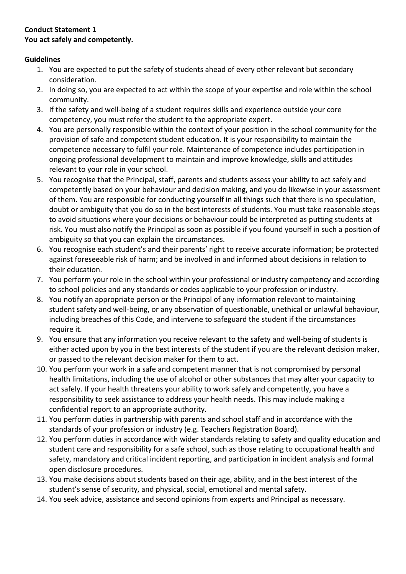## **Conduct Statement 1 You act safely and competently.**

- 1. You are expected to put the safety of students ahead of every other relevant but secondary consideration.
- 2. In doing so, you are expected to act within the scope of your expertise and role within the school community.
- 3. If the safety and well-being of a student requires skills and experience outside your core competency, you must refer the student to the appropriate expert.
- 4. You are personally responsible within the context of your position in the school community for the provision of safe and competent student education. It is your responsibility to maintain the competence necessary to fulfil your role. Maintenance of competence includes participation in ongoing professional development to maintain and improve knowledge, skills and attitudes relevant to your role in your school.
- 5. You recognise that the Principal, staff, parents and students assess your ability to act safely and competently based on your behaviour and decision making, and you do likewise in your assessment of them. You are responsible for conducting yourself in all things such that there is no speculation, doubt or ambiguity that you do so in the best interests of students. You must take reasonable steps to avoid situations where your decisions or behaviour could be interpreted as putting students at risk. You must also notify the Principal as soon as possible if you found yourself in such a position of ambiguity so that you can explain the circumstances.
- 6. You recognise each student's and their parents' right to receive accurate information; be protected against foreseeable risk of harm; and be involved in and informed about decisions in relation to their education.
- 7. You perform your role in the school within your professional or industry competency and according to school policies and any standards or codes applicable to your profession or industry.
- 8. You notify an appropriate person or the Principal of any information relevant to maintaining student safety and well-being, or any observation of questionable, unethical or unlawful behaviour, including breaches of this Code, and intervene to safeguard the student if the circumstances require it.
- 9. You ensure that any information you receive relevant to the safety and well-being of students is either acted upon by you in the best interests of the student if you are the relevant decision maker, or passed to the relevant decision maker for them to act.
- 10. You perform your work in a safe and competent manner that is not compromised by personal health limitations, including the use of alcohol or other substances that may alter your capacity to act safely. If your health threatens your ability to work safely and competently, you have a responsibility to seek assistance to address your health needs. This may include making a confidential report to an appropriate authority.
- 11. You perform duties in partnership with parents and school staff and in accordance with the standards of your profession or industry (e.g. Teachers Registration Board).
- 12. You perform duties in accordance with wider standards relating to safety and quality education and student care and responsibility for a safe school, such as those relating to occupational health and safety, mandatory and critical incident reporting, and participation in incident analysis and formal open disclosure procedures.
- 13. You make decisions about students based on their age, ability, and in the best interest of the student's sense of security, and physical, social, emotional and mental safety.
- 14. You seek advice, assistance and second opinions from experts and Principal as necessary.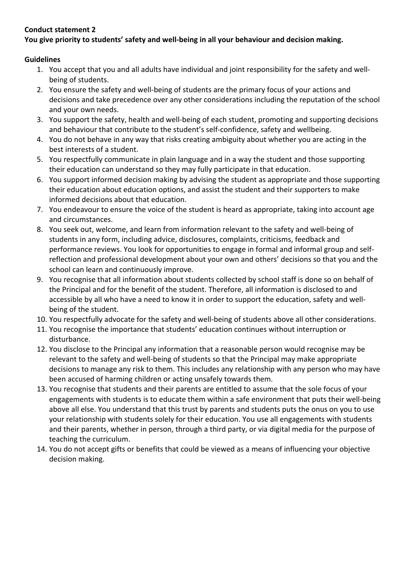# **You give priority to students' safety and well-being in all your behaviour and decision making.**

- 1. You accept that you and all adults have individual and joint responsibility for the safety and wellbeing of students.
- 2. You ensure the safety and well-being of students are the primary focus of your actions and decisions and take precedence over any other considerations including the reputation of the school and your own needs.
- 3. You support the safety, health and well-being of each student, promoting and supporting decisions and behaviour that contribute to the student's self-confidence, safety and wellbeing.
- 4. You do not behave in any way that risks creating ambiguity about whether you are acting in the best interests of a student.
- 5. You respectfully communicate in plain language and in a way the student and those supporting their education can understand so they may fully participate in that education.
- 6. You support informed decision making by advising the student as appropriate and those supporting their education about education options, and assist the student and their supporters to make informed decisions about that education.
- 7. You endeavour to ensure the voice of the student is heard as appropriate, taking into account age and circumstances.
- 8. You seek out, welcome, and learn from information relevant to the safety and well-being of students in any form, including advice, disclosures, complaints, criticisms, feedback and performance reviews. You look for opportunities to engage in formal and informal group and selfreflection and professional development about your own and others' decisions so that you and the school can learn and continuously improve.
- 9. You recognise that all information about students collected by school staff is done so on behalf of the Principal and for the benefit of the student. Therefore, all information is disclosed to and accessible by all who have a need to know it in order to support the education, safety and wellbeing of the student.
- 10. You respectfully advocate for the safety and well-being of students above all other considerations.
- 11. You recognise the importance that students' education continues without interruption or disturbance.
- 12. You disclose to the Principal any information that a reasonable person would recognise may be relevant to the safety and well-being of students so that the Principal may make appropriate decisions to manage any risk to them. This includes any relationship with any person who may have been accused of harming children or acting unsafely towards them.
- 13. You recognise that students and their parents are entitled to assume that the sole focus of your engagements with students is to educate them within a safe environment that puts their well-being above all else. You understand that this trust by parents and students puts the onus on you to use your relationship with students solely for their education. You use all engagements with students and their parents, whether in person, through a third party, or via digital media for the purpose of teaching the curriculum.
- 14. You do not accept gifts or benefits that could be viewed as a means of influencing your objective decision making.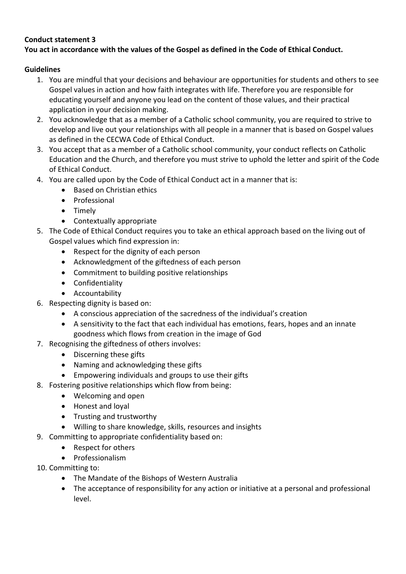## **You act in accordance with the values of the Gospel as defined in the Code of Ethical Conduct.**

- 1. You are mindful that your decisions and behaviour are opportunities for students and others to see Gospel values in action and how faith integrates with life. Therefore you are responsible for educating yourself and anyone you lead on the content of those values, and their practical application in your decision making.
- 2. You acknowledge that as a member of a Catholic school community, you are required to strive to develop and live out your relationships with all people in a manner that is based on Gospel values as defined in the CECWA Code of Ethical Conduct.
- 3. You accept that as a member of a Catholic school community, your conduct reflects on Catholic Education and the Church, and therefore you must strive to uphold the letter and spirit of the Code of Ethical Conduct.
- 4. You are called upon by the Code of Ethical Conduct act in a manner that is:
	- Based on Christian ethics
	- Professional
	- Timely
	- Contextually appropriate
- 5. The Code of Ethical Conduct requires you to take an ethical approach based on the living out of Gospel values which find expression in:
	- Respect for the dignity of each person
	- Acknowledgment of the giftedness of each person
	- Commitment to building positive relationships
	- Confidentiality
	- Accountability
- 6. Respecting dignity is based on:
	- A conscious appreciation of the sacredness of the individual's creation
	- A sensitivity to the fact that each individual has emotions, fears, hopes and an innate goodness which flows from creation in the image of God
- 7. Recognising the giftedness of others involves:
	- Discerning these gifts
	- Naming and acknowledging these gifts
	- Empowering individuals and groups to use their gifts
- 8. Fostering positive relationships which flow from being:
	- Welcoming and open
	- Honest and loyal
	- Trusting and trustworthy
	- Willing to share knowledge, skills, resources and insights
- 9. Committing to appropriate confidentiality based on:
	- Respect for others
	- Professionalism
- 10. Committing to:
	- The Mandate of the Bishops of Western Australia
	- The acceptance of responsibility for any action or initiative at a personal and professional level.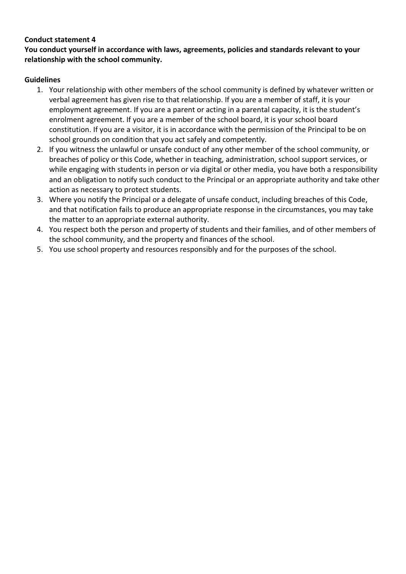**You conduct yourself in accordance with laws, agreements, policies and standards relevant to your relationship with the school community.**

- 1. Your relationship with other members of the school community is defined by whatever written or verbal agreement has given rise to that relationship. If you are a member of staff, it is your employment agreement. If you are a parent or acting in a parental capacity, it is the student's enrolment agreement. If you are a member of the school board, it is your school board constitution. If you are a visitor, it is in accordance with the permission of the Principal to be on school grounds on condition that you act safely and competently.
- 2. If you witness the unlawful or unsafe conduct of any other member of the school community, or breaches of policy or this Code, whether in teaching, administration, school support services, or while engaging with students in person or via digital or other media, you have both a responsibility and an obligation to notify such conduct to the Principal or an appropriate authority and take other action as necessary to protect students.
- 3. Where you notify the Principal or a delegate of unsafe conduct, including breaches of this Code, and that notification fails to produce an appropriate response in the circumstances, you may take the matter to an appropriate external authority.
- 4. You respect both the person and property of students and their families, and of other members of the school community, and the property and finances of the school.
- 5. You use school property and resources responsibly and for the purposes of the school.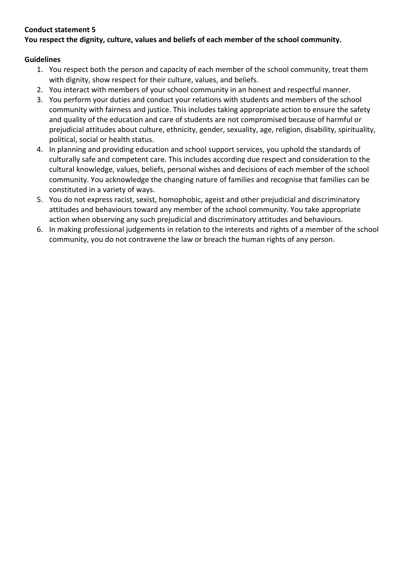# **Conduct statement 5 You respect the dignity, culture, values and beliefs of each member of the school community.**

- 1. You respect both the person and capacity of each member of the school community, treat them with dignity, show respect for their culture, values, and beliefs.
- 2. You interact with members of your school community in an honest and respectful manner.
- 3. You perform your duties and conduct your relations with students and members of the school community with fairness and justice. This includes taking appropriate action to ensure the safety and quality of the education and care of students are not compromised because of harmful or prejudicial attitudes about culture, ethnicity, gender, sexuality, age, religion, disability, spirituality, political, social or health status.
- 4. In planning and providing education and school support services, you uphold the standards of culturally safe and competent care. This includes according due respect and consideration to the cultural knowledge, values, beliefs, personal wishes and decisions of each member of the school community. You acknowledge the changing nature of families and recognise that families can be constituted in a variety of ways.
- 5. You do not express racist, sexist, homophobic, ageist and other prejudicial and discriminatory attitudes and behaviours toward any member of the school community. You take appropriate action when observing any such prejudicial and discriminatory attitudes and behaviours.
- 6. In making professional judgements in relation to the interests and rights of a member of the school community, you do not contravene the law or breach the human rights of any person.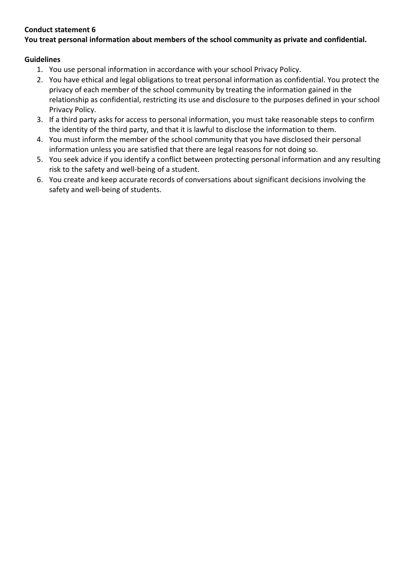## **You treat personal information about members of the school community as private and confidential.**

- 1. You use personal information in accordance with your school Privacy Policy.
- 2. You have ethical and legal obligations to treat personal information as confidential. You protect the privacy of each member of the school community by treating the information gained in the relationship as confidential, restricting its use and disclosure to the purposes defined in your school Privacy Policy.
- 3. If a third party asks for access to personal information, you must take reasonable steps to confirm the identity of the third party, and that it is lawful to disclose the information to them.
- 4. You must inform the member of the school community that you have disclosed their personal information unless you are satisfied that there are legal reasons for not doing so.
- 5. You seek advice if you identify a conflict between protecting personal information and any resulting risk to the safety and well-being of a student.
- 6. You create and keep accurate records of conversations about significant decisions involving the safety and well-being of students.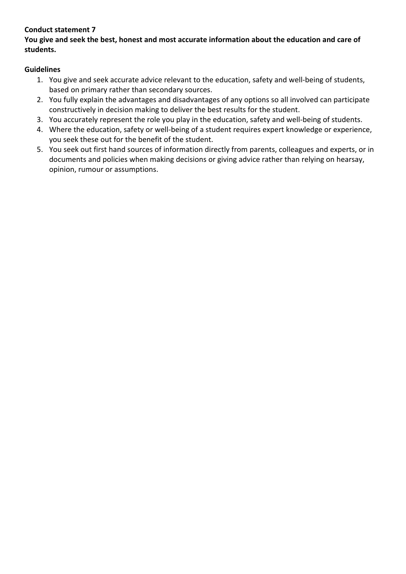## **You give and seek the best, honest and most accurate information about the education and care of students.**

- 1. You give and seek accurate advice relevant to the education, safety and well-being of students, based on primary rather than secondary sources.
- 2. You fully explain the advantages and disadvantages of any options so all involved can participate constructively in decision making to deliver the best results for the student.
- 3. You accurately represent the role you play in the education, safety and well-being of students.
- 4. Where the education, safety or well-being of a student requires expert knowledge or experience, you seek these out for the benefit of the student.
- 5. You seek out first hand sources of information directly from parents, colleagues and experts, or in documents and policies when making decisions or giving advice rather than relying on hearsay, opinion, rumour or assumptions.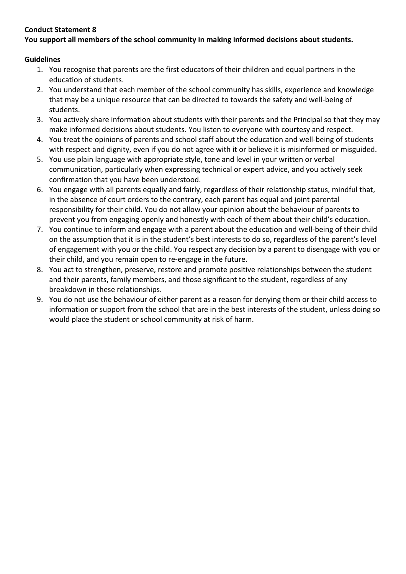# **You support all members of the school community in making informed decisions about students.**

- 1. You recognise that parents are the first educators of their children and equal partners in the education of students.
- 2. You understand that each member of the school community has skills, experience and knowledge that may be a unique resource that can be directed to towards the safety and well-being of students.
- 3. You actively share information about students with their parents and the Principal so that they may make informed decisions about students. You listen to everyone with courtesy and respect.
- 4. You treat the opinions of parents and school staff about the education and well-being of students with respect and dignity, even if you do not agree with it or believe it is misinformed or misguided.
- 5. You use plain language with appropriate style, tone and level in your written or verbal communication, particularly when expressing technical or expert advice, and you actively seek confirmation that you have been understood.
- 6. You engage with all parents equally and fairly, regardless of their relationship status, mindful that, in the absence of court orders to the contrary, each parent has equal and joint parental responsibility for their child. You do not allow your opinion about the behaviour of parents to prevent you from engaging openly and honestly with each of them about their child's education.
- 7. You continue to inform and engage with a parent about the education and well-being of their child on the assumption that it is in the student's best interests to do so, regardless of the parent's level of engagement with you or the child. You respect any decision by a parent to disengage with you or their child, and you remain open to re-engage in the future.
- 8. You act to strengthen, preserve, restore and promote positive relationships between the student and their parents, family members, and those significant to the student, regardless of any breakdown in these relationships.
- 9. You do not use the behaviour of either parent as a reason for denying them or their child access to information or support from the school that are in the best interests of the student, unless doing so would place the student or school community at risk of harm.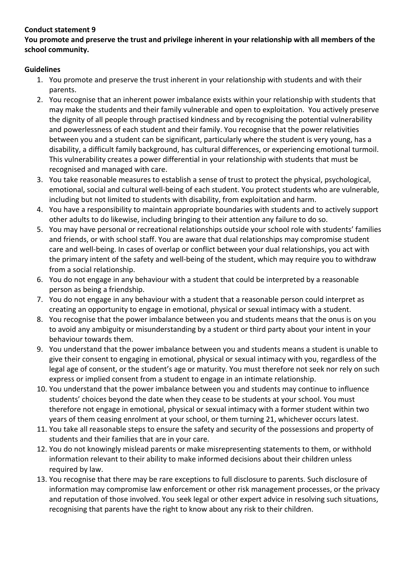### **You promote and preserve the trust and privilege inherent in your relationship with all members of the school community.**

- 1. You promote and preserve the trust inherent in your relationship with students and with their parents.
- 2. You recognise that an inherent power imbalance exists within your relationship with students that may make the students and their family vulnerable and open to exploitation. You actively preserve the dignity of all people through practised kindness and by recognising the potential vulnerability and powerlessness of each student and their family. You recognise that the power relativities between you and a student can be significant, particularly where the student is very young, has a disability, a difficult family background, has cultural differences, or experiencing emotional turmoil. This vulnerability creates a power differential in your relationship with students that must be recognised and managed with care.
- 3. You take reasonable measures to establish a sense of trust to protect the physical, psychological, emotional, social and cultural well-being of each student. You protect students who are vulnerable, including but not limited to students with disability, from exploitation and harm.
- 4. You have a responsibility to maintain appropriate boundaries with students and to actively support other adults to do likewise, including bringing to their attention any failure to do so.
- 5. You may have personal or recreational relationships outside your school role with students' families and friends, or with school staff. You are aware that dual relationships may compromise student care and well-being. In cases of overlap or conflict between your dual relationships, you act with the primary intent of the safety and well-being of the student, which may require you to withdraw from a social relationship.
- 6. You do not engage in any behaviour with a student that could be interpreted by a reasonable person as being a friendship.
- 7. You do not engage in any behaviour with a student that a reasonable person could interpret as creating an opportunity to engage in emotional, physical or sexual intimacy with a student.
- 8. You recognise that the power imbalance between you and students means that the onus is on you to avoid any ambiguity or misunderstanding by a student or third party about your intent in your behaviour towards them.
- 9. You understand that the power imbalance between you and students means a student is unable to give their consent to engaging in emotional, physical or sexual intimacy with you, regardless of the legal age of consent, or the student's age or maturity. You must therefore not seek nor rely on such express or implied consent from a student to engage in an intimate relationship.
- 10. You understand that the power imbalance between you and students may continue to influence students' choices beyond the date when they cease to be students at your school. You must therefore not engage in emotional, physical or sexual intimacy with a former student within two years of them ceasing enrolment at your school, or them turning 21, whichever occurs latest.
- 11. You take all reasonable steps to ensure the safety and security of the possessions and property of students and their families that are in your care.
- 12. You do not knowingly mislead parents or make misrepresenting statements to them, or withhold information relevant to their ability to make informed decisions about their children unless required by law.
- 13. You recognise that there may be rare exceptions to full disclosure to parents. Such disclosure of information may compromise law enforcement or other risk management processes, or the privacy and reputation of those involved. You seek legal or other expert advice in resolving such situations, recognising that parents have the right to know about any risk to their children.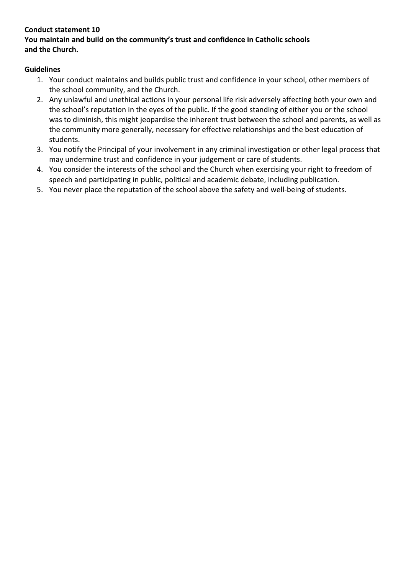### **Conduct statement 10 You maintain and build on the community's trust and confidence in Catholic schools and the Church.**

- 1. Your conduct maintains and builds public trust and confidence in your school, other members of the school community, and the Church.
- 2. Any unlawful and unethical actions in your personal life risk adversely affecting both your own and the school's reputation in the eyes of the public. If the good standing of either you or the school was to diminish, this might jeopardise the inherent trust between the school and parents, as well as the community more generally, necessary for effective relationships and the best education of students.
- 3. You notify the Principal of your involvement in any criminal investigation or other legal process that may undermine trust and confidence in your judgement or care of students.
- 4. You consider the interests of the school and the Church when exercising your right to freedom of speech and participating in public, political and academic debate, including publication.
- 5. You never place the reputation of the school above the safety and well-being of students.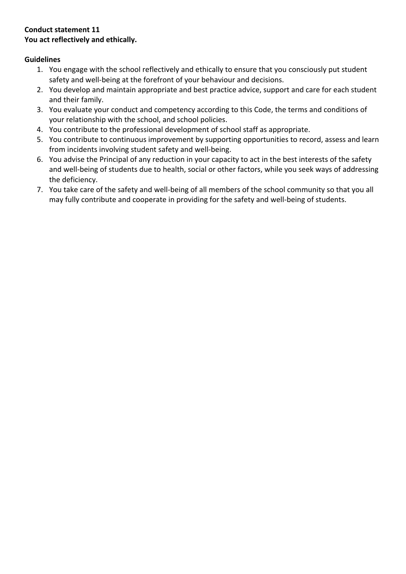## **Conduct statement 11 You act reflectively and ethically.**

- 1. You engage with the school reflectively and ethically to ensure that you consciously put student safety and well-being at the forefront of your behaviour and decisions.
- 2. You develop and maintain appropriate and best practice advice, support and care for each student and their family.
- 3. You evaluate your conduct and competency according to this Code, the terms and conditions of your relationship with the school, and school policies.
- 4. You contribute to the professional development of school staff as appropriate.
- 5. You contribute to continuous improvement by supporting opportunities to record, assess and learn from incidents involving student safety and well-being.
- 6. You advise the Principal of any reduction in your capacity to act in the best interests of the safety and well-being of students due to health, social or other factors, while you seek ways of addressing the deficiency.
- 7. You take care of the safety and well-being of all members of the school community so that you all may fully contribute and cooperate in providing for the safety and well-being of students.